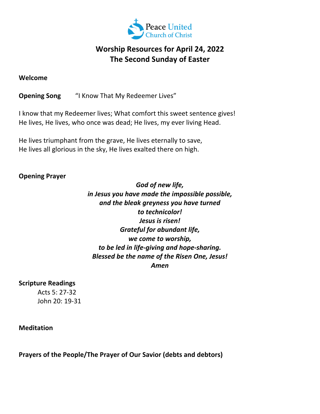

# **Worship Resources for April 24, 2022 The Second Sunday of Easter**

#### **Welcome**

**Opening Song** "I Know That My Redeemer Lives"

I know that my Redeemer lives; What comfort this sweet sentence gives! He lives, He lives, who once was dead; He lives, my ever living Head.

He lives triumphant from the grave, He lives eternally to save, He lives all glorious in the sky, He lives exalted there on high.

## **Opening Prayer**

*God of new life, in Jesus you have made the impossible possible, and the bleak greyness you have turned to technicolor! Jesus is risen! Grateful for abundant life, we come to worship, to be led in life‐giving and hope‐sharing. Blessed be the name of the Risen One, Jesus! Amen*

### **Scripture Readings**

Acts 5: 27‐32 John 20: 19‐31

#### **Meditation**

**Prayers of the People/The Prayer of Our Savior (debts and debtors)**